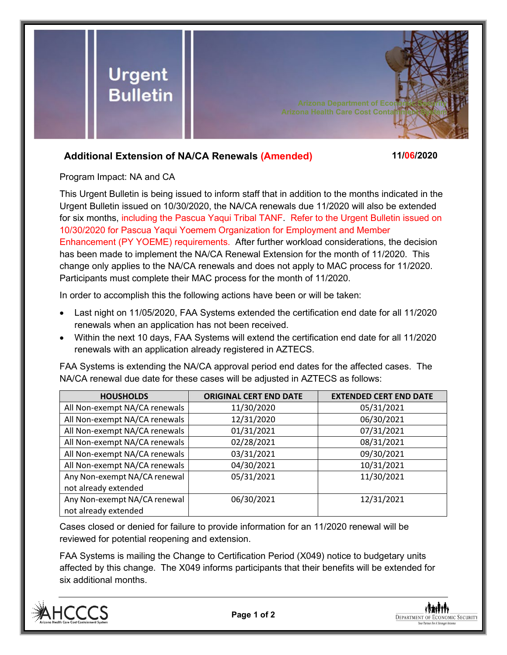

## **Additional Extension of NA/CA Renewals (Amended) 11/06/2020**

Program Impact: NA and CA

This Urgent Bulletin is being issued to inform staff that in addition to the months indicated in the Urgent Bulletin issued on 10/30/2020, the NA/CA renewals due 11/2020 will also be extended for six months, including the Pascua Yaqui Tribal TANF. Refer to the Urgent Bulletin issued on 10/30/2020 for Pascua Yaqui Yoemem Organization for Employment and Member Enhancement (PY YOEME) requirements. After further workload considerations, the decision has been made to implement the NA/CA Renewal Extension for the month of 11/2020. This change only applies to the NA/CA renewals and does not apply to MAC process for 11/2020. Participants must complete their MAC process for the month of 11/2020.

In order to accomplish this the following actions have been or will be taken:

- Last night on 11/05/2020, FAA Systems extended the certification end date for all 11/2020 renewals when an application has not been received.
- Within the next 10 days, FAA Systems will extend the certification end date for all 11/2020 renewals with an application already registered in AZTECS.

FAA Systems is extending the NA/CA approval period end dates for the affected cases. The NA/CA renewal due date for these cases will be adjusted in AZTECS as follows:

| <b>HOUSHOLDS</b>              | <b>ORIGINAL CERT END DATE</b> | <b>EXTENDED CERT END DATE</b> |
|-------------------------------|-------------------------------|-------------------------------|
| All Non-exempt NA/CA renewals | 11/30/2020                    | 05/31/2021                    |
| All Non-exempt NA/CA renewals | 12/31/2020                    | 06/30/2021                    |
| All Non-exempt NA/CA renewals | 01/31/2021                    | 07/31/2021                    |
| All Non-exempt NA/CA renewals | 02/28/2021                    | 08/31/2021                    |
| All Non-exempt NA/CA renewals | 03/31/2021                    | 09/30/2021                    |
| All Non-exempt NA/CA renewals | 04/30/2021                    | 10/31/2021                    |
| Any Non-exempt NA/CA renewal  | 05/31/2021                    | 11/30/2021                    |
| not already extended          |                               |                               |
| Any Non-exempt NA/CA renewal  | 06/30/2021                    | 12/31/2021                    |
| not already extended          |                               |                               |

Cases closed or denied for failure to provide information for an 11/2020 renewal will be reviewed for potential reopening and extension.

FAA Systems is mailing the Change to Certification Period (X049) notice to budgetary units affected by this change. The X049 informs participants that their benefits will be extended for six additional months.